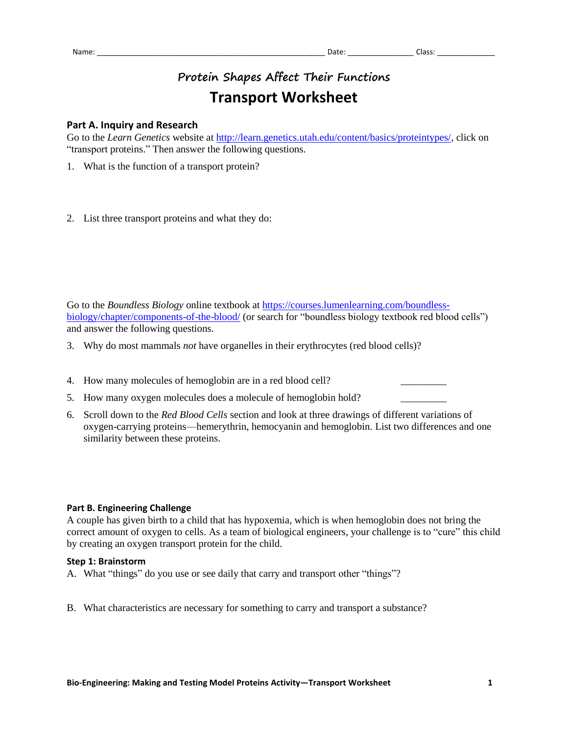## **Protein Shapes Affect Their Functions Transport Worksheet**

## **Part A. Inquiry and Research**

Go to the *Learn Genetics* website at [http://learn.genetics.utah.edu/content/basics/proteintypes/,](http://learn.genetics.utah.edu/content/basics/proteintypes/) click on "transport proteins." Then answer the following questions.

- 1. What is the function of a transport protein?
- 2. List three transport proteins and what they do:

Go to the *Boundless Biology* online textbook at [https://courses.lumenlearning.com/boundless](https://courses.lumenlearning.com/boundless-biology/chapter/components-of-the-blood/)[biology/chapter/components-of-the-blood/](https://courses.lumenlearning.com/boundless-biology/chapter/components-of-the-blood/) (or search for "boundless biology textbook red blood cells") and answer the following questions.

- 3. Why do most mammals *not* have organelles in their erythrocytes (red blood cells)?
- 4. How many molecules of hemoglobin are in a red blood cell?
- 5. How many oxygen molecules does a molecule of hemoglobin hold?
- 6. Scroll down to the *Red Blood Cells* section and look at three drawings of different variations of oxygen-carrying proteins—hemerythrin, hemocyanin and hemoglobin. List two differences and one similarity between these proteins.

## **Part B. Engineering Challenge**

A couple has given birth to a child that has hypoxemia, which is when hemoglobin does not bring the correct amount of oxygen to cells. As a team of biological engineers, your challenge is to "cure" this child by creating an oxygen transport protein for the child.

## **Step 1: Brainstorm**

- A. What "things" do you use or see daily that carry and transport other "things"?
- B. What characteristics are necessary for something to carry and transport a substance?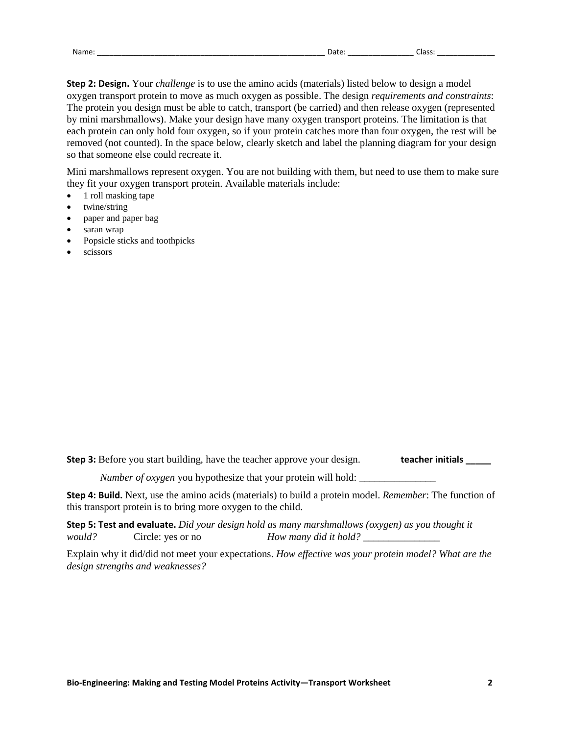| ar |  |  |
|----|--|--|
|    |  |  |

**Step 2: Design.** Your *challenge* is to use the amino acids (materials) listed below to design a model oxygen transport protein to move as much oxygen as possible. The design *requirements and constraints*: The protein you design must be able to catch, transport (be carried) and then release oxygen (represented by mini marshmallows). Make your design have many oxygen transport proteins. The limitation is that each protein can only hold four oxygen, so if your protein catches more than four oxygen, the rest will be removed (not counted). In the space below, clearly sketch and label the planning diagram for your design so that someone else could recreate it.

Mini marshmallows represent oxygen. You are not building with them, but need to use them to make sure they fit your oxygen transport protein. Available materials include:

- 1 roll masking tape
- twine/string
- paper and paper bag
- saran wrap
- Popsicle sticks and toothpicks
- scissors

**Step 3:** Before you start building, have the teacher approve your design. **teacher initials** \_\_\_\_\_\_

*Number of oxygen* you hypothesize that your protein will hold:

**Step 4: Build.** Next, use the amino acids (materials) to build a protein model. *Remember*: The function of this transport protein is to bring more oxygen to the child.

**Step 5: Test and evaluate.** *Did your design hold as many marshmallows (oxygen) as you thought it would?* Circle: yes or no *How many did it hold?* \_\_\_\_\_\_\_\_\_\_\_\_\_\_\_

Explain why it did/did not meet your expectations. *How effective was your protein model? What are the design strengths and weaknesses?*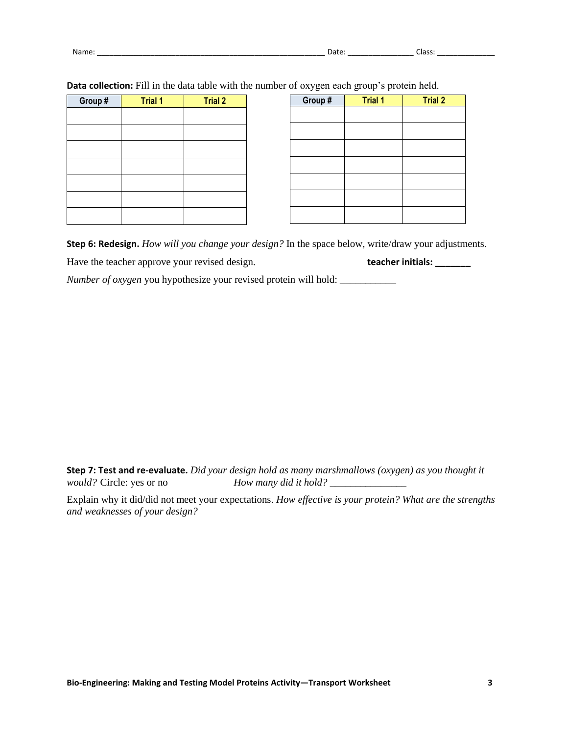| -- | Name |  | --<br>ात |
|----|------|--|----------|
|----|------|--|----------|

| Group # | <b>Trial 1</b> | <b>Trial 2</b> | Group # | <b>Trial 1</b> |
|---------|----------------|----------------|---------|----------------|
|         |                |                |         |                |
|         |                |                |         |                |
|         |                |                |         |                |
|         |                |                |         |                |
|         |                |                |         |                |
|         |                |                |         |                |
|         |                |                |         |                |
|         |                |                |         |                |

**Data collection:** Fill in the data table with the number of oxygen each group's protein held.

**Step 6: Redesign.** *How will you change your design?* In the space below, write/draw your adjustments.

Have the teacher approve your revised design. **teacher initials: \_\_\_\_\_\_\_**

*Number of oxygen* you hypothesize your revised protein will hold: \_\_\_\_\_\_\_\_\_\_\_\_\_\_

**Step 7: Test and re-evaluate.** *Did your design hold as many marshmallows (oxygen) as you thought it would?* Circle: yes or no *How many did it hold? How many did it hold?* \_\_\_\_\_\_\_\_\_\_\_\_\_\_\_\_

Explain why it did/did not meet your expectations. *How effective is your protein? What are the strengths and weaknesses of your design?*